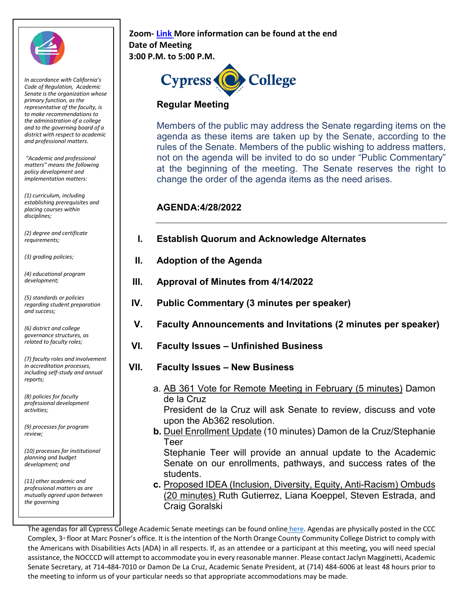

 *district with respect to academic In accordance with California's Code of Regulation, Academic Senate is the organization whose primary function, as the representative of the faculty, is to make recommendations to the administration of a college and to the governing board of a and professional matters.* 

*"Academic and professional matters" means the following policy development and implementation matters:* 

*(1) curriculum, including establishing prerequisites and placing courses within disciplines;* 

*(2) degree and certificate* 

 *(4) educational program* 

*(5) standards or policies regarding student preparation and success;* 

*(6) district and college governance structures, as related to faculty roles;* 

**z** *including self-study and annual (7) faculty roles and involvement in accreditation processes, reports;* 

 *(8) policies for faculty professional development activities;* 

*(9) processes for program review;* 

*(10) processes for institutional planning and budget development; and* 

 *professional matters as are (11) other academic and mutually agreed upon between the governing* 

## **3:00 P.M. to 5:00 P.M. Zoom[-](https://cypresscollege-edu.zoom.us/j/98305681363?pwd=akYwS3l0TjdkODFGRXN3QW9IZ3BEZz09) [Link](https://cypresscollege-edu.zoom.us/j/98305681363?pwd=akYwS3l0TjdkODFGRXN3QW9IZ3BEZz09) More information can be found at the end Date of Meeting**



## **Regular Meeting**

Members of the public may address the Senate regarding items on the agenda as these items are taken up by the Senate, according to the rules of the Senate. Members of the public wishing to address matters, not on the agenda will be invited to do so under "Public Commentary" at the beginning of the meeting. The Senate reserves the right to change the order of the agenda items as the need arises.

## **AGENDA:4/28/2022**

| 127 acyrce and eerupedic<br>requirements; |  |  | <b>Establish Quorum and Acknowledge Alternates</b> |
|-------------------------------------------|--|--|----------------------------------------------------|
|-------------------------------------------|--|--|----------------------------------------------------|

- *(3) grading policies;* **II. Adoption of the Agenda**
- *development;* **III. Approval of Minutes from 4/14/2022** 
	- **IV. Public Commentary (3 minutes per speaker)**
	- **V. Faculty Announcements and Invitations (2 minutes per speaker)**
	- **VI. Faculty Issues – Unfinished Business**
	- **VII. Faculty Issues New Business** 
		- a. AB 361 Vote for Remote Meeting in February (5 minutes) Damon de la Cruz

President de la Cruz will ask Senate to review, discuss and vote upon the Ab362 resolution.

**b.** Duel Enrollment Update (10 minutes) Damon de la Cruz/Stephanie Teer

 Senate on our enrollments, pathways, and success rates of the Stephanie Teer will provide an annual update to the Academic students.

**c.** Proposed IDEA (Inclusion, Diversity, Equity, Anti-Racism) Ombuds (20 minutes) Ruth Gutierrez, Liana Koeppel, Steven Estrada, and Craig Goralski

The agendas for all Cypress College Academic Senate meetings can be found onlin[e here.](https://www.cypresscollege.edu/about/cypress-college-governance/academic-senate/agendas-and-minutes/) Agendas are physically posted in the CCC Complex, 3<sup>rd</sup> floor at Marc Posner's office. It is the intention of the North Orange County Community College District to comply with the Americans with Disabilities Acts (ADA) in all respects. If, as an attendee or a participant at this meeting, you will need special assistance, the NOCCCD will attempt to accommodate you in every reasonable manner. Please contact Jaclyn Magginetti, Academic Senate Secretary, at 714-484-7010 or Damon De La Cruz, Academic Senate President, at (714) 484-6006 at least 48 hours prior to the meeting to inform us of your particular needs so that appropriate accommodations may be made.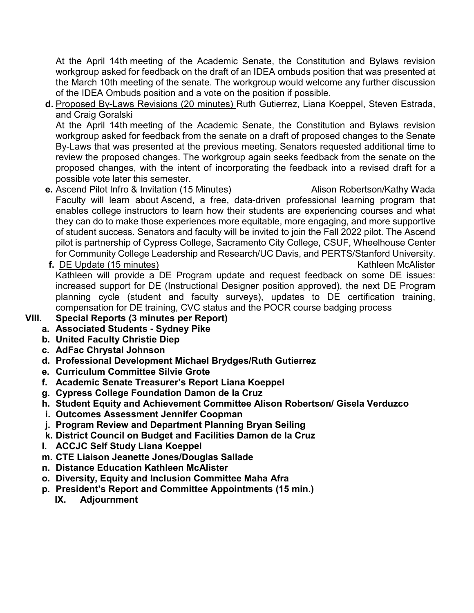At the April 14th meeting of the Academic Senate, the Constitution and Bylaws revision workgroup asked for feedback on the draft of an IDEA ombuds position that was presented at the March 10th meeting of the senate. The workgroup would welcome any further discussion of the IDEA Ombuds position and a vote on the position if possible.

**d.** Proposed By-Laws Revisions (20 minutes) Ruth Gutierrez, Liana Koeppel, Steven Estrada, and Craig Goralski

 At the April 14th meeting of the Academic Senate, the Constitution and Bylaws revision By-Laws that was presented at the previous meeting. Senators requested additional time to review the proposed changes. The workgroup again seeks feedback from the senate on the proposed changes, with the intent of incorporating the feedback into a revised draft for a possible vote later this semester. workgroup asked for feedback from the senate on a draft of proposed changes to the Senate

- **e**. <u>Ascend Pilot Infro & Invitation (15 Minutes)</u> Alison Robertson/Kathy Wada Faculty will learn about Ascend, a free, data-driven professional learning program that enables college instructors to learn how their students are experiencing courses and what they can do to make those experiences more equitable, more engaging, and more supportive of student success. Senators and faculty will be invited to join the Fall 2022 pilot. The Ascend pilot is partnership of Cypress College, Sacramento City College, CSUF, Wheelhouse Center for Community College Leadership and Research/UC Davis, and PERTS/Stanford University.
- **f.** DE Update (15 minutes) And the set of the Second McAlister Second McAlister Second McAlister increased support for DE (Instructional Designer position approved), the next DE Program Kathleen will provide a DE Program update and request feedback on some DE issues: planning cycle (student and faculty surveys), updates to DE certification training, compensation for DE training, CVC status and the POCR course badging process

## **VIII. Special Reports (3 minutes per Report)**

- **a. Associated Students - Sydney Pike**
- **b. United Faculty Christie Diep**
- **c. AdFac Chrystal Johnson**
- **d. Professional Development Michael Brydges/Ruth Gutierrez**
- **e. Curriculum Committee Silvie Grote**
- **f. Academic Senate Treasurer's Report Liana Koeppel**
- **g. Cypress College Foundation Damon de la Cruz**
- **h. Student Equity and Achievement Committee Alison Robertson/ Gisela Verduzco**
- **i. Outcomes Assessment Jennifer Coopman**
- **j. Program Review and Department Planning Bryan Seiling**
- **k. District Council on Budget and Facilities Damon de la Cruz**
- **l. ACCJC Self Study Liana Koeppel**
- **m. CTE Liaison Jeanette Jones/Douglas Sallade**
- **n. Distance Education Kathleen McAlister**
- **o. Diversity, Equity and Inclusion Committee Maha Afra**
- **p. President's Report and Committee Appointments (15 min.)** 
	- **IX. Adjournment**